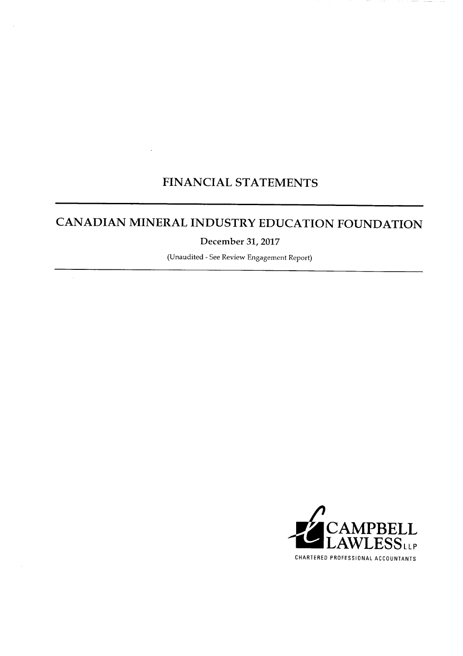## **FINANCIAL STATEMENTS**

 $\mathcal{L}$ 

# CANADIAN MINERAL INDUSTRY EDUCATION FOUNDATION

December 31, 2017

(Unaudited - See Review Engagement Report)

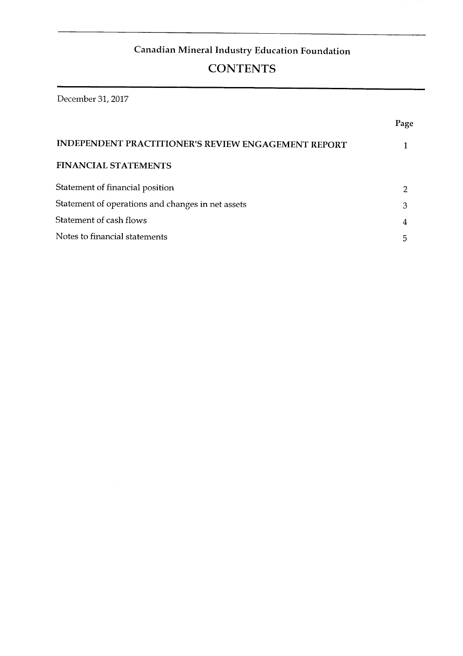# **Canadian Mineral Industry Education Foundation<br>CONTENTS**

# **Statement of operations and cfianges in net assets 3**

Page

**Statement of cash flows 4** 

| <b>INDEPENDENT PRACTITIONER'S REVIEW ENGAGEMENT REPORT</b> |   |
|------------------------------------------------------------|---|
| <b>FINANCIAL STATEMENTS</b>                                |   |
| Statement of financial position                            |   |
| Statement of operations and changes in net assets          | З |
| Statement of cash flows                                    |   |
| Notes to financial statements                              |   |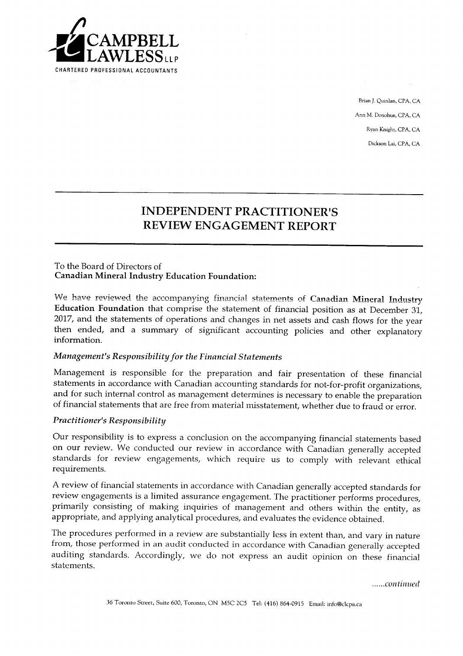

Brian J. Quinlan, CPA, CA Ann M. Donohue, CPA, CA Ryan Knight, CPA, CA Dickson Lai, CPA, CA

## **then ended, and a summary of significant accounting policies and other explanatory INDEPENDENT PRACTITIONER'S** REVIEW ENGAGEMENT REPORT

**2017, and the statements of operations and changes in net assets and cash flows for the year** 

**Management is responsible for the preparation and fair presentation of these financial** 

#### To the Board of Directors of **Canadian Mineral Industry Education Foundation:**

We have reviewed the accompanying financial statements of Canadian Mineral Industry Education Foundation that comprise the statement of financial position as at December 31, 2017, and the statements of operations and changes in net assets and cash flows for the year then ended, and a summary of significant accounting policies and other explanatory information.

#### **Management's Responsibility for the Financial Statements**

**review engagements is a limited assurance engagement. The practitioner performs procedures,**  Management is responsible for the preparation and fair presentation of these financial statements in accordance with Canadian accounting standards for not-for-profit organizations, and for such internal control as management determines is necessary to enable the preparation of financial statements that are free from material misstatement, whether due to fraud or error.

#### **from, those performed in an audit conducted in accordance with Canadian generally accepted Practitioner's Responsibility**

Our responsibility is to express a conclusion on the accompanying financial statements based on our review. We conducted our review in accordance with Canadian generally accepted standards for review engagements, which require us to comply with relevant ethical requirements.

A review of financial statements in accordance with Canadian generally accepted standards for review engagements is a limited assurance engagement. The practitioner performs procedures, primarily consisting of making inquiries of management and others within the entity, as appropriate, and applying analytical procedures, and evaluates the evidence obtained.

The procedures performed in a review are substantially less in extent than, and vary in nature from, those performed in an audit conducted in accordance with Canadian generally accepted auditing standards. Accordingly, we do not express an audit opinion on these financial statements.

......continued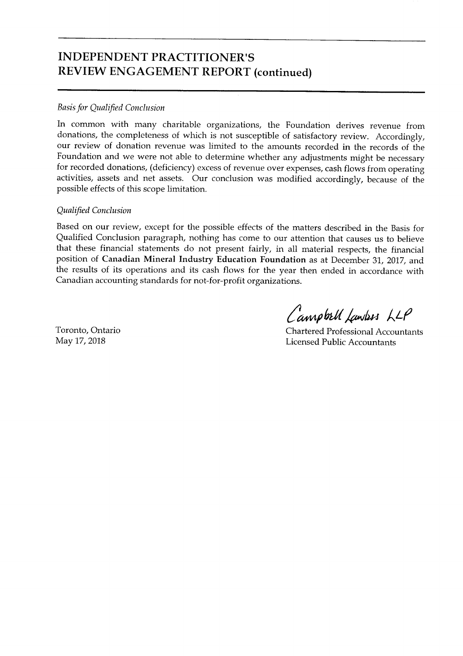## **INDEPENDENT PRACTITIONER'S** REVIEW ENGAGEMENT REPORT (continued)

#### **Basis for Qualified Conclusion**

In common with many charitable organizations, the Foundation derives revenue from **position of** *Canadian Mineral Industry Education Eoundation* **as at December 31, 2017, and the results of its operations of which is not susceptible of sausiacity fevrew.** Accordingly, our review of donation revenue was limited to the amounts recorded in the records of the<br>Foundation and we were not able to determine whether any adjustments might be necessary for recorded donations, (deficiency) excess of revenue over expenses, cash flows from operating activities, assets and net assets. Our conclusion was modified accordingly, because of the possible effects of this scope limitation.

**for recorded donations, (deficiency) excess of revenue over expenses, cash flows from operating** 

#### **Qualified Conclusion**

Based on our review, except for the possible effects of the matters described in the Basis for Qualified Conclusion paragraph, nothing has come to our attention that causes us to believe that these financial statements do not present fairly, in all material respects, the financial position of Canadian Mineral Industry Education Foundation as at December 31, 2017, and the results of its operations and its cash flows for the year then ended in accordance with Canadian accounting standards for not-for-profit organizations.

Toronto, Ontario May 17, 2018

Campbell Lawress LLP

**Chartered Professional Accountants Licensed Public Accountants**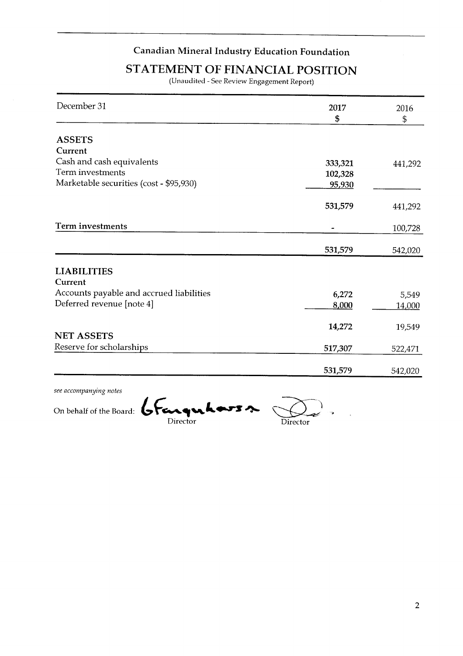#### **Canadian Mineral Industry** *95.930*

*333,321* 

**441,292** 

# *5TATEMENT OF FINANCIAL POSITION*

(Unaudited - See Review Engagement Report)

| December 31                              | 2017           | 2016    |
|------------------------------------------|----------------|---------|
|                                          | $\mathfrak{s}$ | \$      |
|                                          |                |         |
| <b>ASSETS</b>                            |                |         |
| Current                                  |                |         |
| Cash and cash equivalents                | 333,321        | 441,292 |
| Term investments                         | 102,328        |         |
| Marketable securities (cost - \$95,930)  | 95,930         |         |
|                                          | 531,579        | 441,292 |
| Term investments                         |                | 100,728 |
|                                          | 531,579        | 542,020 |
|                                          |                |         |
| <b>LIABILITIES</b><br>Current            |                |         |
| Accounts payable and accrued liabilities | 6,272          | 5,549   |
| Deferred revenue [note 4]                | 8,000          | 14,000  |
|                                          | 14,272         | 19,549  |
| <b>NET ASSETS</b>                        |                |         |
| Reserve for scholarships                 | 517,307        | 522,471 |
|                                          | 531,579        | 542,020 |

see accompanying notes

**Cash and cash equivalents** 

On behalf of the Board: Crange Laws

Director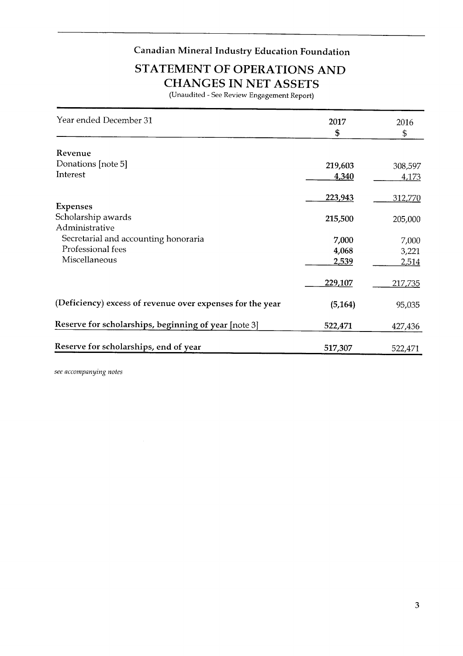## **Canadian Mineral Industry Education Foundation**

**Donations [note 5]** *219,603* **308,597** 

# *223,943* **312,770 CHANGES IN NET ASSETS**<br>(Unaudited - See Review Engagement Report)

| Year ended December 31                                    | 2017     | 2016         |
|-----------------------------------------------------------|----------|--------------|
|                                                           | \$       | \$           |
| Revenue                                                   |          |              |
| Donations [note 5]                                        | 219,603  | 308,597      |
| Interest                                                  | 4,340    | 4,173        |
|                                                           | 223,943  | 312,770      |
| <b>Expenses</b><br>Scholarship awards                     |          |              |
| Administrative                                            | 215,500  | 205,000      |
| Secretarial and accounting honoraria                      | 7,000    | 7,000        |
| Professional fees                                         | 4,068    | 3,221        |
| Miscellaneous                                             | 2,539    | <u>2,514</u> |
|                                                           | 229,107  | 217,735      |
| (Deficiency) excess of revenue over expenses for the year | (5, 164) | 95,035       |
| Reserve for scholarships, beginning of year [note 3]      | 522,471  | 427,436      |
| Reserve for scholarships, end of year                     | 517,307  | 522,471      |

see accompanying notes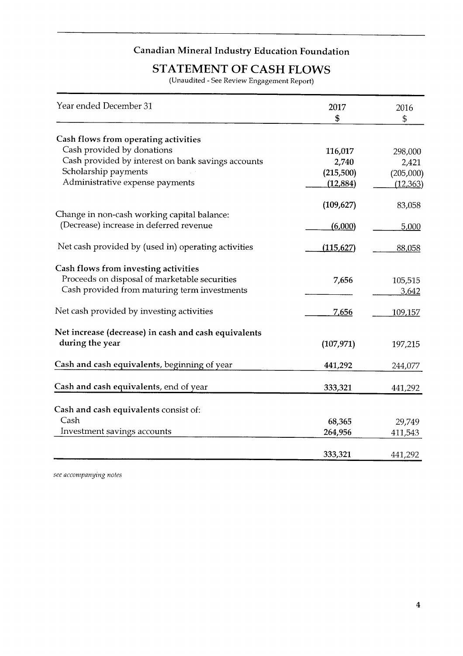#### **Lanadian Mineral Inc** *112.884)*

*2,740* 

**2,421** 

**Cash provided by interest on bank savings accounts** 

## **STATEMENT OF CASH FLOWS**

(Unaudited - See Review Engagement Report)

| Year ended December 31                               | 2017<br>\$ | 2016<br>\$ |
|------------------------------------------------------|------------|------------|
|                                                      |            |            |
| Cash flows from operating activities                 |            |            |
| Cash provided by donations                           | 116,017    | 298,000    |
| Cash provided by interest on bank savings accounts   | 2,740      | 2,421      |
| Scholarship payments                                 | (215,500)  | (205,000)  |
| Administrative expense payments                      | (12,884)   | (12, 363)  |
|                                                      | (109, 627) | 83,058     |
| Change in non-cash working capital balance:          |            |            |
| (Decrease) increase in deferred revenue              | (6,000)    | 5,000      |
| Net cash provided by (used in) operating activities  | (115, 627) | 88,058     |
| Cash flows from investing activities                 |            |            |
| Proceeds on disposal of marketable securities        | 7,656      | 105,515    |
| Cash provided from maturing term investments         |            | 3,642      |
| Net cash provided by investing activities            | 7,656      | 109,157    |
| Net increase (decrease) in cash and cash equivalents |            |            |
| during the year                                      | (107, 971) | 197,215    |
| Cash and cash equivalents, beginning of year         | 441,292    | 244,077    |
| Cash and cash equivalents, end of year               | 333,321    | 441,292    |
|                                                      |            |            |
| Cash and cash equivalents consist of:                |            |            |
| Cash                                                 | 68,365     | 29,749     |
| Investment savings accounts                          | 264,956    | 411,543    |
|                                                      | 333,321    | 441,292    |

see accompanying notes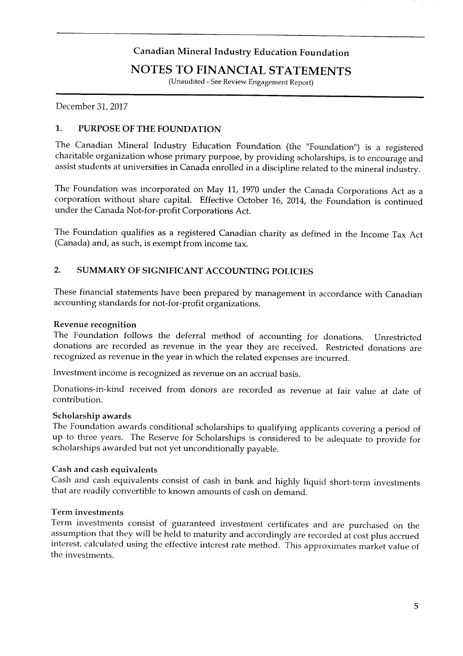# **The Foundation was incorporated on May 11, 1970 under the Canada Corporations Act as a**

**assist students at universities in Canada enrolled in a discipline related to the mineral industry.** 

## NOTES TO FINANCIAL STATEMENTS

(Unaudited - See Review Engagement Report)

December 31, 2017 **(Canada) and, as such, is exempt from income tax.** 

#### $\mathbf{1}$ . PURPOSE OF THE FOUNDATION

The Canadian Mineral Industry Education Foundation (the "Foundation") is a registered These financial statements of the state of the state of the problem of the problem of the state with canadian according to the state of the state of the state with canadian and the state of the state of the state of the st **accounting standards for not-for-profit organizations.** 

**Representative recognition** The Foundation follows the deferred method of accounting for deferred in the defendation is continued. under the Canada Not-for-profit Corporations Act.

The Foundation qualifies as a registered Canadian charity as defined in the Income Tax Act (Canada) and, as such, is exempt from income tax.

### 2. SUMMARY OF SIGNIFICANT ACCOUNTING POLICIES

**Scholarship awards**  These Indiana succinents have been prepared by management in accordance with Canadian accounting standards for not-for-profit organizations.

## **scholarships awarded but not yet unconditionally payable.**

The Foundation follows the deferral method of accounting for donations. Unrestricted donations are recorded as revenue in the year they are received. Restricted donations are recognized as revenue in the year in which the related expenses are incurred.

Investment income is recognized as revenue on an accrual basis.

**Term investments Term investments consistent in vertices** and included as revenue at fair value at date of **assumption** that the sumption that the maturity and according at cost plus according at cost  $\alpha$  and according at cost  $\alpha$  and according  $\alpha$  and  $\alpha$  according  $\alpha$  according  $\alpha$  and  $\alpha$  according  $\alpha$  according  $\alpha$ 

#### **Scholarship awards**

The Foundation awards conditional scholarships to qualifying applicants covering a period of up to three years. The Reserve for Scholarships is considered to be adequate to provide for scholarships awarded but not yet unconditionally payable.

#### Cash and cash equivalents

Cash and cash equivalents consist of cash in bank and highly liquid short-term investments that are readily convertible to known amounts of cash on demand.

#### Term investments

Term investments consist of guaranteed investment certificates and are purchased on the assumption that they will be held to maturity and accordingly are recorded at cost plus accrued interest, calculated using the effective interest rate method. This approximates market value of the investments.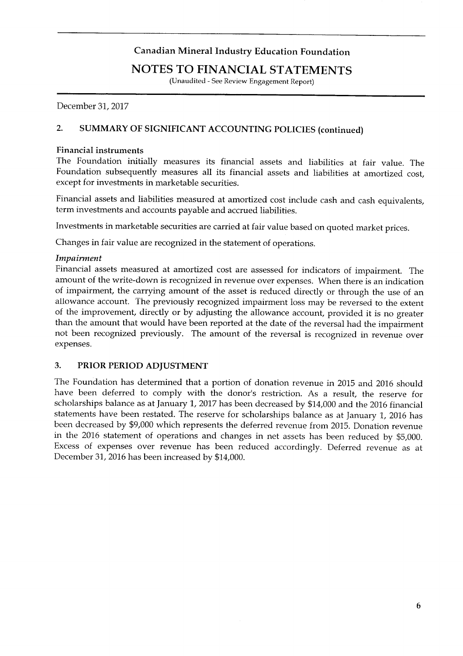#### **Foundation subsequently measures all its financial assets and liabilities at amortized cost, except for investigation** in the securities of the security in the security in the second securities.

**The Foundation initially measures its financial assets and liabilities at fair value. The** 

## **FINANCIAL STATEMENTS**

**(Unaudited - See Review Engagement Report)** 

**Investments in marketable securities are carried at fair value based on quoted market prices. Changes in fair value are recognized in the statement of operations.** 

## 2. SUMMARY OF SIGNIFICANT ACCOUNTING POLICIES (continued)

#### **Financial instruments.**

The Foundation initially measures its financial assets and liabilities at fair value. The Foundation subsequently measures all its financial assets and liabilities at amortized cost, except for investments in marketable securities.

**than the amount that would have been reported at the date of the reversal had the impairment national assets and habilities measured at amortized cost include cash and cash equivalents,** term investments and accounts payable and accrued liabilities.

Investments in marketable securities are carried at fair value based on quoted market prices.<br>Changes in fair value are recognized in the statement of operations.

## **The Foundation has determined that a portion of donation revenue in 2015 and 2016 should**

**have been deferred to comply with the donor's restriction. As a result, the reserve for**  relative assets the astronomic at attivitized cost are assessed for indicators of impairment. The 2016 financial amount of the write-down is recognized in revenue over expenses. When there is an indication of impairment, the carrying amount of the asset is reduced directly or through the use of an allowance account. The previously recognized impairment loss may be reversed to the extent of the improvement, directly or by adjusting the allowance account, provided it is no greater than the amount that would have been reported at the date of the reversal had the impairment not been recognized previously. The amount of the reversal is recognized in revenue over expenses.

#### 3. PRIOR PERIOD ADJUSTMENT

The Foundation has determined that a portion of donation revenue in 2015 and 2016 should have been deferred to comply with the donor's restriction. As a result, the reserve for scholarships balance as at January 1, 2017 has been decreased by \$14,000 and the 2016 financial statements have been restated. The reserve for scholarships balance as at January 1, 2016 has been decreased by \$9,000 which represents the deferred revenue from 2015. Donation revenue in the 2016 statement of operations and changes in net assets has been reduced by \$5,000. Excess of expenses over revenue has been reduced accordingly. Deferred revenue as at December 31, 2016 has been increased by \$14,000.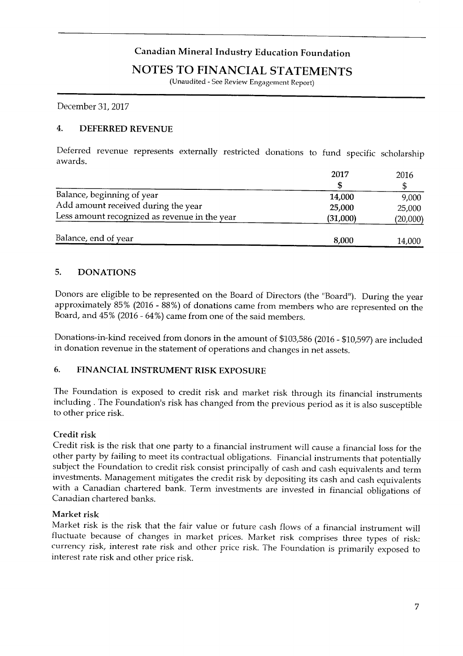## **Canadian Mineral Industry Education Foundation**

#### **BALANCE OF A BALANCE OF A TEXAT NEWSFILM** A dd amount received during the second the year 25,000 percent and 25,000 percent and 25,000 percent and 25,000 percent and 25,000 percent and 25,000 percent and 25,000 percent and 25,000 percent and 25,000 percent and 25,

**(Unaudited - See Review Engagement Report)** 

**December 31, 2017** 

**awards.** 

#### $\overline{4}$ . **DEFERRED REVENUE**

Deferred revenue represents externally restricted donations to fund specific scholarship **Donors are eligible to be represented on the Board of Directors (the "Board"). During the year** 

|                                               | 2017     | 2016     |
|-----------------------------------------------|----------|----------|
|                                               |          |          |
| Balance, beginning of year                    | 14,000   | 9,000    |
| Add amount received during the year           | 25,000   | 25,000   |
| Less amount recognized as revenue in the year | (31,000) | (20,000) |
|                                               |          |          |
| Balance, end of year                          | 8,000    | 14,000   |

#### **5. DONATIONS**

Donors are eligible to be represented on the Board of Directors (the "Board"). During the year approximately 85% (2016 - 88%) of donations came from members who are represented on the Board, and  $45\%$  (2016 - 64%) came from one of the said members.

Donations-in-kind received from donors in the amount of \$103,586 (2016 - \$10,597) are included in donation revenue in the statement of operations and changes in net assets. **with a Canadian chartered bank. Term investments are invested in financial obligations of** 

#### **6. FINANCIAL INSTRUMENT RISK EXPOSURE**

**Market risk Market risk is the fair of the fair flows of a fair value of a financial instruments** including . The Foundation's risk has changed from the previous period as it is also susceptible to other price risk. **currency risk.** The Foundation is primarily exposured to  $\frac{1}{2}$  and  $\frac{1}{2}$  and  $\frac{1}{2}$  and  $\frac{1}{2}$  and  $\frac{1}{2}$  and  $\frac{1}{2}$  and  $\frac{1}{2}$  and  $\frac{1}{2}$  and  $\frac{1}{2}$  and  $\frac{1}{2}$  and  $\frac{1}{2}$  and  $\frac{1}{2}$ 

# **interest rate risk and other price risk.**

Credit risk is the risk that one party to a financial instrument will cause a financial loss for the other party by failing to meet its contractual obligations. Financial instruments that potentially subject the Foundation to credit risk consist principally of cash and cash equivalents and term<br>investments. Management mitigates the credit risk by depositing its cash and cash equivalents with a Canadian chartered bank. Term investments are invested in financial obligations of Canadian chartered banks.

#### Market risk

Market risk is the risk that the fair value or future cash flows of a financial instrument will fluctuate because of changes in market prices. Market risk comprises three types of risk: currency risk, interest rate risk and other price risk. The Foundation is primarily exposed to interest rate risk and other price risk.